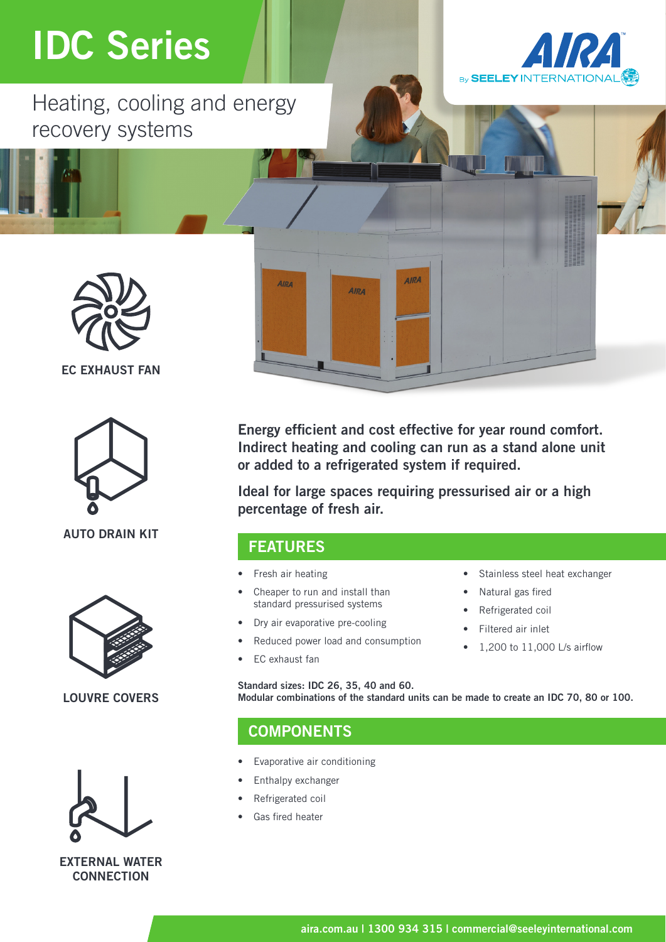## IDC Series

Heating, cooling and energy recovery systems





#### EC EXHAUST FAN



AUTO DRAIN KIT



#### LOUVRE COVERS



EXTERNAL WATER **CONNECTION** 

Energy efficient and cost effective for year round comfort. Indirect heating and cooling can run as a stand alone unit or added to a refrigerated system if required.

AIRA

**AIRA** 

Ideal for large spaces requiring pressurised air or a high percentage of fresh air.

### FEATURES

**AIRA** 

- Fresh air heating
- Cheaper to run and install than standard pressurised systems
- Dry air evaporative pre-cooling
- Reduced power load and consumption
- EC exhaust fan
- Stainless steel heat exchanger
- Natural gas fired
- Refrigerated coil
- Filtered air inlet
- 1,200 to 11,000 L/s airflow

Standard sizes: IDC 26, 35, 40 and 60. Modular combinations of the standard units can be made to create an IDC 70, 80 or 100.

## **COMPONENTS**

- Evaporative air conditioning
- Enthalpy exchanger
- Refrigerated coil
- Gas fired heater